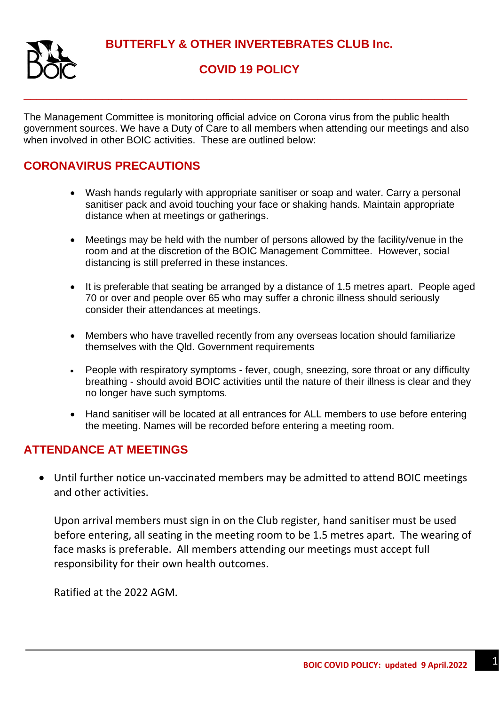**BUTTERFLY & OTHER INVERTEBRATES CLUB Inc.**



## **COVID 19 POLICY**

The Management Committee is monitoring official advice on Corona virus from the public health government sources. We have a Duty of Care to all members when attending our meetings and also when involved in other BOIC activities. These are outlined below:

**\_\_\_\_\_\_\_\_\_\_\_\_\_\_\_\_\_\_\_\_\_\_\_\_\_\_\_\_\_\_\_\_\_\_\_\_\_\_\_\_\_\_\_\_\_\_\_\_\_\_\_\_\_\_\_\_\_\_\_\_\_\_\_\_\_\_\_\_**

## **CORONAVIRUS PRECAUTIONS**

- Wash hands regularly with appropriate sanitiser or soap and water. Carry a personal sanitiser pack and avoid touching your face or shaking hands. Maintain appropriate distance when at meetings or gatherings.
- Meetings may be held with the number of persons allowed by the facility/venue in the room and at the discretion of the BOIC Management Committee. However, social distancing is still preferred in these instances.
- It is preferable that seating be arranged by a distance of 1.5 metres apart. People aged 70 or over and people over 65 who may suffer a chronic illness should seriously consider their attendances at meetings.
- Members who have travelled recently from any overseas location should familiarize themselves with the Qld. Government requirements
- People with respiratory symptoms fever, cough, sneezing, sore throat or any difficulty breathing - should avoid BOIC activities until the nature of their illness is clear and they no longer have such symptoms.
- Hand sanitiser will be located at all entrances for ALL members to use before entering the meeting. Names will be recorded before entering a meeting room.

## **ATTENDANCE AT MEETINGS**

• Until further notice un-vaccinated members may be admitted to attend BOIC meetings and other activities.

Upon arrival members must sign in on the Club register, hand sanitiser must be used before entering, all seating in the meeting room to be 1.5 metres apart. The wearing of face masks is preferable. All members attending our meetings must accept full responsibility for their own health outcomes.

Ratified at the 2022 AGM.